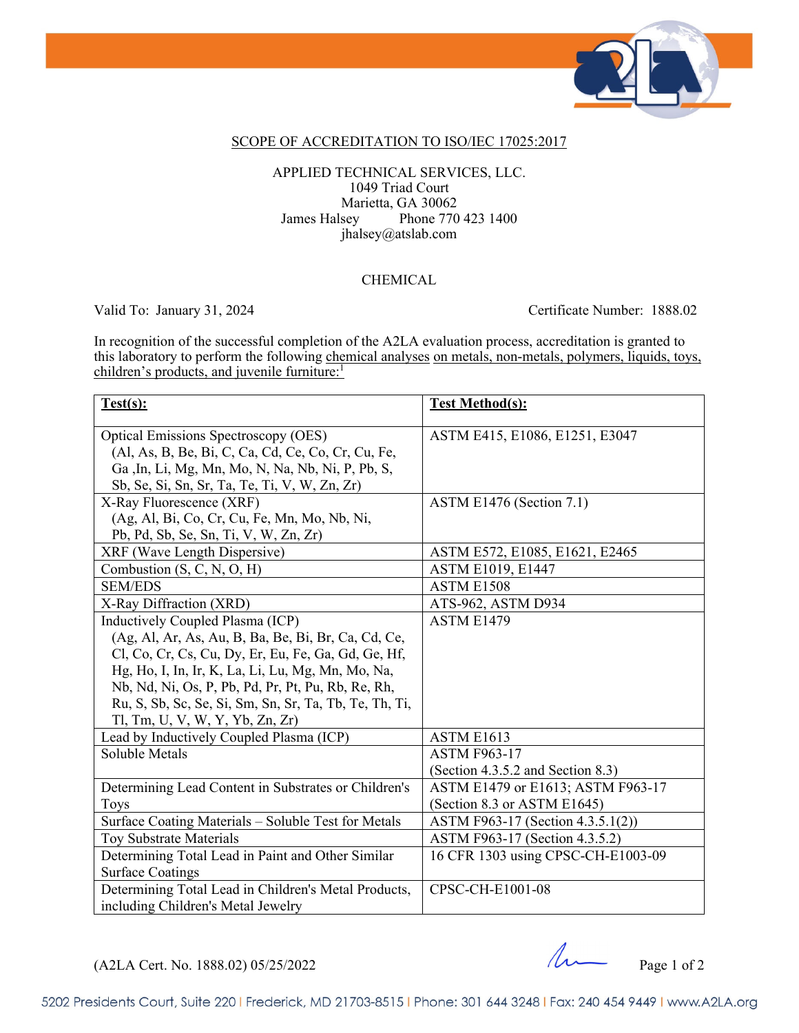

### SCOPE OF ACCREDITATION TO ISO/IEC 17025:2017

l

#### APPLIED TECHNICAL SERVICES, LLC. 1049 Triad Court Marietta, GA 30062 James Halsey Phone 770 423 1400 jhalsey@atslab.com

### **CHEMICAL**

Valid To: January 31, 2024 Certificate Number: 1888.02

In recognition of the successful completion of the A2LA evaluation process, accreditation is granted to this laboratory to perform the following chemical analyses on metals, non-metals, polymers, liquids, toys, children's products, and juvenile furniture:<sup>1</sup>

| Test(s):                                               | <b>Test Method(s):</b>             |
|--------------------------------------------------------|------------------------------------|
| <b>Optical Emissions Spectroscopy (OES)</b>            | ASTM E415, E1086, E1251, E3047     |
| (Al, As, B, Be, Bi, C, Ca, Cd, Ce, Co, Cr, Cu, Fe,     |                                    |
| Ga, In, Li, Mg, Mn, Mo, N, Na, Nb, Ni, P, Pb, S,       |                                    |
| Sb, Se, Si, Sn, Sr, Ta, Te, Ti, V, W, Zn, Zr)          |                                    |
| X-Ray Fluorescence (XRF)                               | ASTM E1476 (Section 7.1)           |
| (Ag, Al, Bi, Co, Cr, Cu, Fe, Mn, Mo, Nb, Ni,           |                                    |
| Pb, Pd, Sb, Se, Sn, Ti, V, W, Zn, Zr)                  |                                    |
| XRF (Wave Length Dispersive)                           | ASTM E572, E1085, E1621, E2465     |
| Combustion (S, C, N, O, H)                             | <b>ASTM E1019, E1447</b>           |
| <b>SEM/EDS</b>                                         | ASTM E1508                         |
| X-Ray Diffraction (XRD)                                | ATS-962, ASTM D934                 |
| Inductively Coupled Plasma (ICP)                       | ASTM E1479                         |
| (Ag, Al, Ar, As, Au, B, Ba, Be, Bi, Br, Ca, Cd, Ce,    |                                    |
| Cl, Co, Cr, Cs, Cu, Dy, Er, Eu, Fe, Ga, Gd, Ge, Hf,    |                                    |
| Hg, Ho, I, In, Ir, K, La, Li, Lu, Mg, Mn, Mo, Na,      |                                    |
| Nb, Nd, Ni, Os, P, Pb, Pd, Pr, Pt, Pu, Rb, Re, Rh,     |                                    |
| Ru, S, Sb, Sc, Se, Si, Sm, Sn, Sr, Ta, Tb, Te, Th, Ti, |                                    |
| Tl, Tm, U, V, W, Y, Yb, Zn, Zr)                        |                                    |
| Lead by Inductively Coupled Plasma (ICP)               | ASTM E1613                         |
| Soluble Metals                                         | <b>ASTM F963-17</b>                |
|                                                        | (Section 4.3.5.2 and Section 8.3)  |
| Determining Lead Content in Substrates or Children's   | ASTM E1479 or E1613; ASTM F963-17  |
| <b>Toys</b>                                            | (Section 8.3 or ASTM E1645)        |
| Surface Coating Materials - Soluble Test for Metals    | ASTM F963-17 (Section 4.3.5.1(2))  |
| Toy Substrate Materials                                | ASTM F963-17 (Section 4.3.5.2)     |
| Determining Total Lead in Paint and Other Similar      | 16 CFR 1303 using CPSC-CH-E1003-09 |
| <b>Surface Coatings</b>                                |                                    |
| Determining Total Lead in Children's Metal Products,   | CPSC-CH-E1001-08                   |
| including Children's Metal Jewelry                     |                                    |

 $(A2LA$  Cert. No. 1888.02) 05/25/2022 Page 1 of 2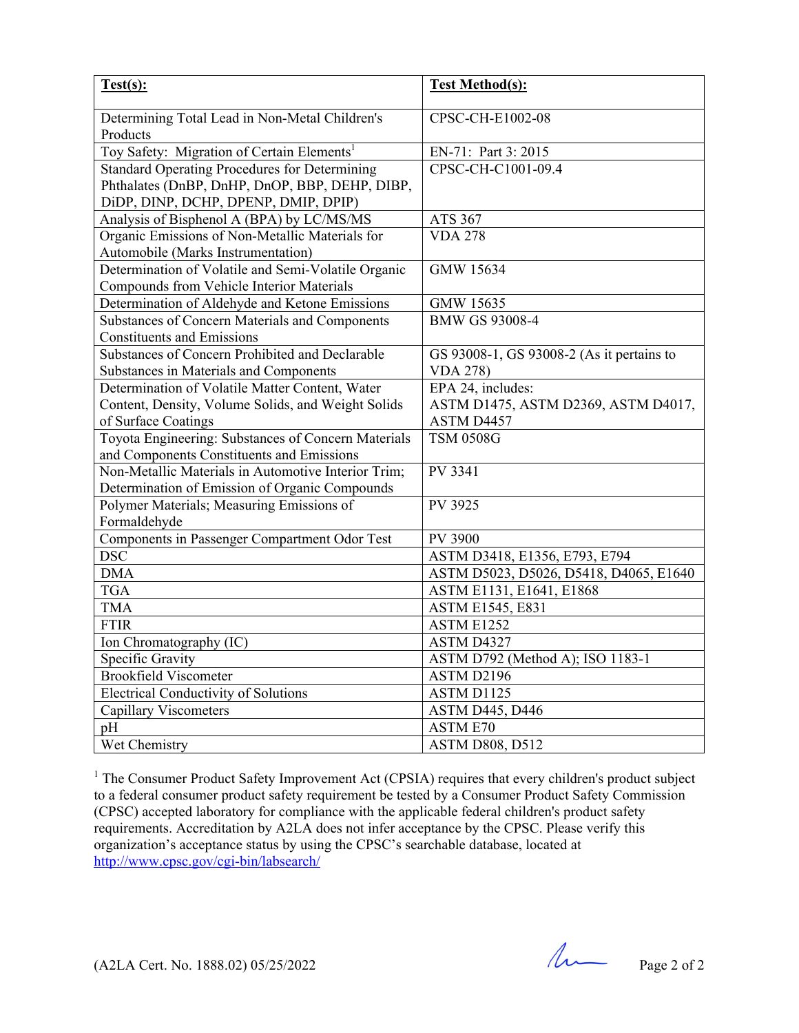| Test(s):                                                                               | <b>Test Method(s):</b>                    |
|----------------------------------------------------------------------------------------|-------------------------------------------|
| Determining Total Lead in Non-Metal Children's<br>Products                             | CPSC-CH-E1002-08                          |
| Toy Safety: Migration of Certain Elements <sup>1</sup>                                 | EN-71: Part 3: 2015                       |
| <b>Standard Operating Procedures for Determining</b>                                   | CPSC-CH-C1001-09.4                        |
| Phthalates (DnBP, DnHP, DnOP, BBP, DEHP, DIBP,<br>DiDP, DINP, DCHP, DPENP, DMIP, DPIP) |                                           |
| Analysis of Bisphenol A (BPA) by LC/MS/MS                                              | ATS 367                                   |
| Organic Emissions of Non-Metallic Materials for                                        | <b>VDA 278</b>                            |
| Automobile (Marks Instrumentation)                                                     |                                           |
| Determination of Volatile and Semi-Volatile Organic                                    | GMW 15634                                 |
| Compounds from Vehicle Interior Materials                                              |                                           |
| Determination of Aldehyde and Ketone Emissions                                         | GMW 15635                                 |
| Substances of Concern Materials and Components                                         | <b>BMW GS 93008-4</b>                     |
| <b>Constituents and Emissions</b>                                                      |                                           |
| Substances of Concern Prohibited and Declarable                                        | GS 93008-1, GS 93008-2 (As it pertains to |
| Substances in Materials and Components                                                 | <b>VDA 278)</b>                           |
| Determination of Volatile Matter Content, Water                                        | EPA 24, includes:                         |
| Content, Density, Volume Solids, and Weight Solids                                     | ASTM D1475, ASTM D2369, ASTM D4017,       |
| of Surface Coatings                                                                    | ASTM D4457                                |
| Toyota Engineering: Substances of Concern Materials                                    | <b>TSM 0508G</b>                          |
| and Components Constituents and Emissions                                              |                                           |
| Non-Metallic Materials in Automotive Interior Trim;                                    | PV 3341                                   |
| Determination of Emission of Organic Compounds                                         |                                           |
| Polymer Materials; Measuring Emissions of                                              | PV 3925                                   |
| Formaldehyde                                                                           |                                           |
| Components in Passenger Compartment Odor Test                                          | PV 3900                                   |
| <b>DSC</b>                                                                             | ASTM D3418, E1356, E793, E794             |
| <b>DMA</b>                                                                             | ASTM D5023, D5026, D5418, D4065, E1640    |
| <b>TGA</b>                                                                             | ASTM E1131, E1641, E1868                  |
| <b>TMA</b>                                                                             | <b>ASTM E1545, E831</b>                   |
| <b>FTIR</b>                                                                            | ASTM E1252                                |
| Ion Chromatography (IC)                                                                | ASTM D4327                                |
| Specific Gravity                                                                       | ASTM D792 (Method A); ISO 1183-1          |
| <b>Brookfield Viscometer</b>                                                           | ASTM D2196                                |
| <b>Electrical Conductivity of Solutions</b>                                            | ASTM D1125                                |
| <b>Capillary Viscometers</b>                                                           | <b>ASTM D445, D446</b>                    |
| pH                                                                                     | <b>ASTM E70</b>                           |
| Wet Chemistry                                                                          | <b>ASTM D808, D512</b>                    |

<sup>1</sup> The Consumer Product Safety Improvement Act (CPSIA) requires that every children's product subject to a federal consumer product safety requirement be tested by a Consumer Product Safety Commission (CPSC) accepted laboratory for compliance with the applicable federal children's product safety requirements. Accreditation by A2LA does not infer acceptance by the CPSC. Please verify this organization's acceptance status by using the CPSC's searchable database, located at http://www.cpsc.gov/cgi-bin/labsearch/